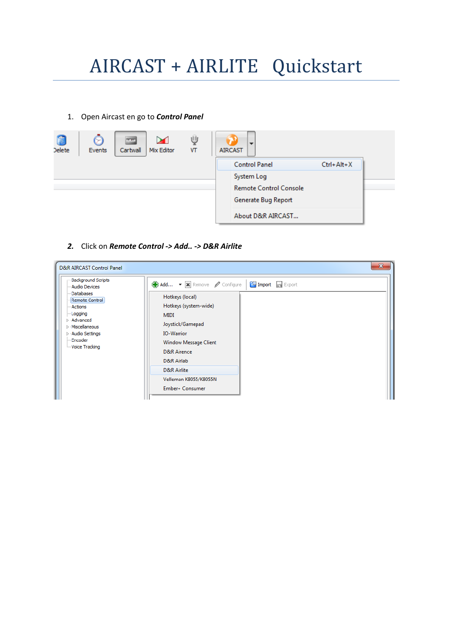# AIRCAST + AIRLITE Quickstart

#### 1. Open Aircast en go to *Control Panel*

| Delete | Я<br>Events | $\sim$ $\sim$<br>Cartwall | ⊠<br>Mix Editor | ψ<br>VT | $\overline{\phantom{a}}$<br><b>AIRCAST</b> |                               |                  |  |
|--------|-------------|---------------------------|-----------------|---------|--------------------------------------------|-------------------------------|------------------|--|
|        |             |                           |                 |         |                                            | <b>Control Panel</b>          | $Ctrl + Alt + X$ |  |
|        |             |                           |                 |         |                                            | System Log                    |                  |  |
|        |             |                           |                 |         |                                            | <b>Remote Control Console</b> |                  |  |
|        |             |                           |                 |         |                                            | Generate Bug Report           |                  |  |
|        |             |                           |                 |         |                                            | About D&R AIRCAST             |                  |  |

#### *2.* Click on *Remote Control -> Add.. -> D&R Airlite*

| $\mathbf{x}$<br>D&R AIRCAST Control Panel                                                                                                                                                                  |                                                                                                                                                                                                                                                                                                                         |  |  |  |
|------------------------------------------------------------------------------------------------------------------------------------------------------------------------------------------------------------|-------------------------------------------------------------------------------------------------------------------------------------------------------------------------------------------------------------------------------------------------------------------------------------------------------------------------|--|--|--|
| <b>Background Scripts</b><br>- Audio Devices<br>Databases<br>Remote Control<br>- Actions<br>Logging<br><b>D</b> Advanced<br><b>Miscellaneous</b><br>▷ Audio Settings<br>- Encoder<br><b>Woice Tracking</b> | $\Gamma$ Import $\Box$ Export<br>Add • <b>X</b> Remove <b><i>O</i></b> Configure<br>Hotkeys (local)<br>Hotkeys (system-wide)<br><b>MIDI</b><br>Joystick/Gamepad<br><b>IO-Warrior</b><br><b>Window Message Client</b><br><b>D&amp;R</b> Airence<br>D&R Airlab<br>D&R Airlite<br>Velleman K8055/K8055N<br>Ember+ Consumer |  |  |  |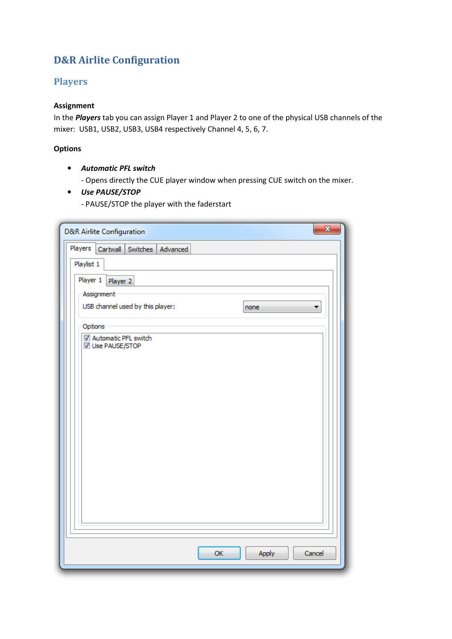# **D&R Airlite Configuration**

### **Players**

#### **Assignment**

In the *Players* tab you can assign Player 1 and Player 2 to one of the physical USB channels of the mixer: USB1, USB2, USB3, USB4 respectively Channel 4, 5, 6, 7.

#### **Options**

• *Automatic PFL switch*

- Opens directly the CUE player window when pressing CUE switch on the mixer.

• *Use PAUSE/STOP*

- PAUSE/STOP the player with the faderstart

| $\overline{\mathbf{x}}$<br><b>D&amp;R Airlite Configuration</b> |  |  |  |  |  |  |
|-----------------------------------------------------------------|--|--|--|--|--|--|
| Players<br>Cartwall<br>Switches Advanced                        |  |  |  |  |  |  |
| Playlist 1                                                      |  |  |  |  |  |  |
| Player 1<br>Player 2                                            |  |  |  |  |  |  |
| Assignment                                                      |  |  |  |  |  |  |
| USB channel used by this player:<br>none<br>۰                   |  |  |  |  |  |  |
| Options                                                         |  |  |  |  |  |  |
| V Automatic PFL switch<br>√ Use PAUSE/STOP                      |  |  |  |  |  |  |
|                                                                 |  |  |  |  |  |  |
|                                                                 |  |  |  |  |  |  |
|                                                                 |  |  |  |  |  |  |
|                                                                 |  |  |  |  |  |  |
|                                                                 |  |  |  |  |  |  |
|                                                                 |  |  |  |  |  |  |
|                                                                 |  |  |  |  |  |  |
|                                                                 |  |  |  |  |  |  |
|                                                                 |  |  |  |  |  |  |
|                                                                 |  |  |  |  |  |  |
|                                                                 |  |  |  |  |  |  |
|                                                                 |  |  |  |  |  |  |
| OK<br>Apply<br>Cancel                                           |  |  |  |  |  |  |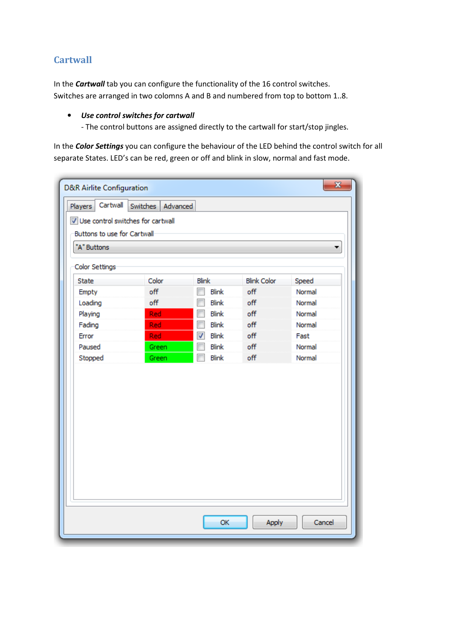# **Cartwall**

In the *Cartwall* tab you can configure the functionality of the 16 control switches. Switches are arranged in two colomns A and B and numbered from top to bottom 1..8.

#### • *Use control switches for cartwall*

- The control buttons are assigned directly to the cartwall for start/stop jingles.

In the *Color Settings* you can configure the behaviour of the LED behind the control switch for all separate States. LED's can be red, green or off and blink in slow, normal and fast mode.

| Switches Advanced<br>Players<br>V Use control switches for cartwall<br>Buttons to use for Cartwall |       |                                          |                    |        |  |
|----------------------------------------------------------------------------------------------------|-------|------------------------------------------|--------------------|--------|--|
| "A" Buttons                                                                                        |       |                                          |                    |        |  |
| Color Settings                                                                                     |       |                                          |                    |        |  |
| <b>State</b>                                                                                       | Color | <b>Blink</b>                             | <b>Blink Color</b> | Speed  |  |
| Empty                                                                                              | off   | <b>Blink</b>                             | off                | Normal |  |
| Loading                                                                                            | off   | <b>Blink</b>                             | off                | Normal |  |
| Playing                                                                                            | Red   | <b>Blink</b>                             | off                | Normal |  |
| Fading                                                                                             | Red   | F<br><b>Blink</b>                        | off                | Normal |  |
| Error                                                                                              | Red   | $\overline{\mathcal{J}}$<br><b>Blink</b> | off                | Fast   |  |
| Paused                                                                                             | Green | F<br><b>Blink</b>                        | off                | Normal |  |
| Stopped                                                                                            | Green | F<br><b>Blink</b>                        | off                | Normal |  |
|                                                                                                    |       |                                          |                    |        |  |
|                                                                                                    |       |                                          |                    |        |  |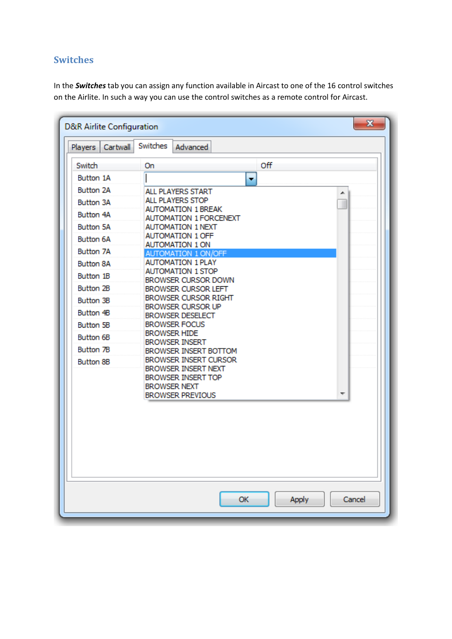# **Switches**

In the *Switches* tab you can assign any function available in Aircast to one of the 16 control switches on the Airlite. In such a way you can use the control switches as a remote control for Aircast.

| $\mathbf{x}$<br><b>D&amp;R Airlite Configuration</b> |                                                           |     |  |  |  |  |
|------------------------------------------------------|-----------------------------------------------------------|-----|--|--|--|--|
| Cartwall<br><b>Players</b>                           | Switches<br>Advanced                                      |     |  |  |  |  |
| Switch                                               | On                                                        | Off |  |  |  |  |
| Button 1A                                            | ۰                                                         |     |  |  |  |  |
| Button 2A                                            | ALL PLAYERS START                                         | A.  |  |  |  |  |
| Button 3A                                            | ALL PLAYERS STOP                                          | ш   |  |  |  |  |
| Button 4A                                            | <b>AUTOMATION 1 BREAK</b>                                 |     |  |  |  |  |
| <b>Button 5A</b>                                     | <b>AUTOMATION 1 FORCENEXT</b><br><b>AUTOMATION 1 NEXT</b> |     |  |  |  |  |
| Button 6A                                            | <b>AUTOMATION 1 OFF</b>                                   |     |  |  |  |  |
| <b>Button 7A</b>                                     | <b>AUTOMATION 1 ON</b>                                    |     |  |  |  |  |
|                                                      | AUTOMATION 1 ON/OFF<br><b>AUTOMATION 1 PLAY</b>           |     |  |  |  |  |
| Button 8A                                            | <b>AUTOMATION 1 STOP</b>                                  |     |  |  |  |  |
| Button 1B                                            | BROWSER CURSOR DOWN                                       |     |  |  |  |  |
| Button 2B                                            | <b>BROWSER CURSOR LEFT</b><br>BROWSER CURSOR RIGHT        |     |  |  |  |  |
| Button 3B                                            | BROWSER CURSOR UP                                         |     |  |  |  |  |
| Button 4B                                            | <b>BROWSER DESELECT</b>                                   |     |  |  |  |  |
| Button 5B                                            | <b>BROWSER FOCUS</b>                                      |     |  |  |  |  |
| Button 6B                                            | <b>BROWSER HIDE</b><br><b>BROWSER INSERT</b>              |     |  |  |  |  |
| Button 7B                                            | BROWSER INSERT BOTTOM                                     |     |  |  |  |  |
| Button 8B                                            | BROWSER INSERT CURSOR                                     |     |  |  |  |  |
|                                                      | BROWSER INSERT NEXT                                       |     |  |  |  |  |
|                                                      | BROWSER INSERT TOP<br><b>BROWSER NEXT</b>                 |     |  |  |  |  |
|                                                      | <b>BROWSER PREVIOUS</b>                                   |     |  |  |  |  |
|                                                      |                                                           |     |  |  |  |  |
|                                                      |                                                           |     |  |  |  |  |
|                                                      |                                                           |     |  |  |  |  |
|                                                      |                                                           |     |  |  |  |  |
|                                                      |                                                           |     |  |  |  |  |
|                                                      |                                                           |     |  |  |  |  |
| OK<br>Apply<br>Cancel                                |                                                           |     |  |  |  |  |